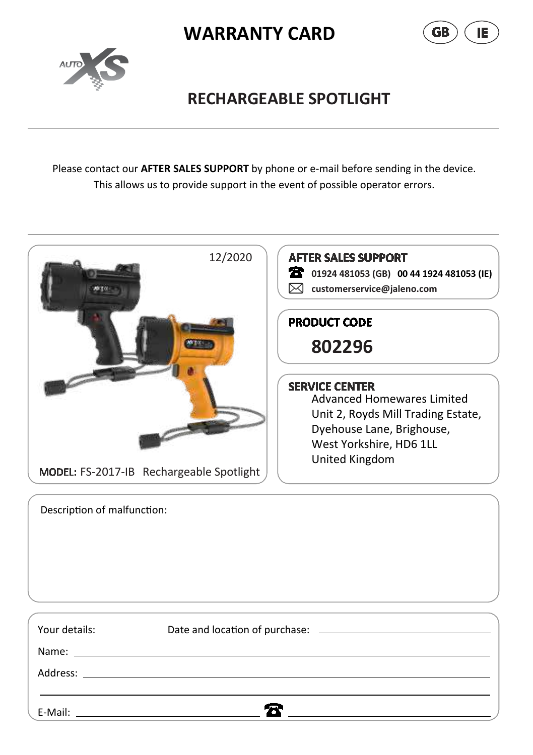





## **RECHARGEABLE SPOTLIGHT**

Please contact our **AFTER SALES SUPPORT** by phone or e-mail before sending in the device. This allows us to provide support in the event of possible operator errors.



Description of malfunction:

Your details: Date and location of purchase: 2000 Contractors

 $\mathbf{z}$ 

Name:

Address:

E-Mail: